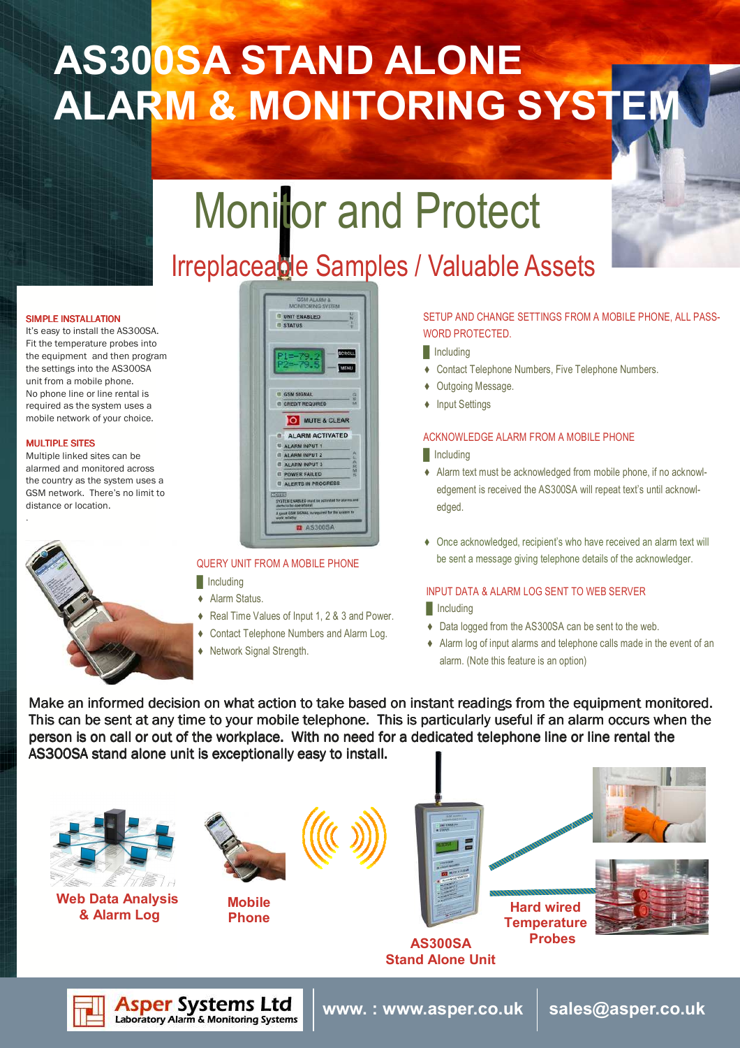# AS300SA STAND ALONE ALARM & MONITORING SYSTEM

# **Monitor and Protect**

# Irreplaceable Samples / Valuable Assets

### SIMPLE INSTALLATION

It's easy to install the AS300SA. Fit the temperature probes into the equipment and then program the settings into the AS300SA unit from a mobile phone. No phone line or line rental is required as the system uses a mobile network of your choice.

### **MULTIPLE SITES**

.

Multiple linked sites can be alarmed and monitored across the country as the system uses a GSM network. There's no limit to distance or location.



### **GSM ALARM & CUNIT ENABLED STATUS EL COM OCUAL CREDIT REQUIRED** O MUTE & CLEAR ALARM ACTIVATED ALARM INPUT 1 ALARM INPUT 2 ALARM INPUT 3 POWER FAILED **U ALERTS IN PROGRESS EL** AS300SA

### QUERY UNIT FROM A MOBILE PHONE

 $\blacksquare$  Including

**Asper Systems Ltd**<br>Laboratory Alarm & Monitoring Systems

- ♦ Alarm Status.
- ♦ Real Time Values of Input 1, 2 & 3 and Power.
- ♦ Contact Telephone Numbers and Alarm Log.
- ♦ Network Signal Strength.

### SETUP AND CHANGE SETTINGS FROM A MOBILE PHONE, ALL PASS-WORD PROTECTED.

- **I**Including
- ♦ Contact Telephone Numbers, Five Telephone Numbers.
- ♦ Outgoing Message.
- ♦ Input Settings

### ACKNOWLEDGE ALARM FROM A MOBILE PHONE

### **I**Including

- ♦ Alarm text must be acknowledged from mobile phone, if no acknowledgement is received the AS300SA will repeat text's until acknowledged.
- ♦ Once acknowledged, recipient's who have received an alarm text will be sent a message giving telephone details of the acknowledger.

### INPUT DATA & ALARM LOG SENT TO WEB SERVER

- **I** Including
- ♦ Data logged from the AS300SA can be sent to the web.
- ♦ Alarm log of input alarms and telephone calls made in the event of an alarm. (Note this feature is an option)

Make an informed decision on what action to take based on instant readings from the equipment monitored. This can be sent at any time to your mobile telephone. This is particularly useful if an alarm occurs when the person is on call or out of the workplace. With no need for a dedicated telephone line or line rental the AS300SA stand alone unit is exceptionally easy to install.

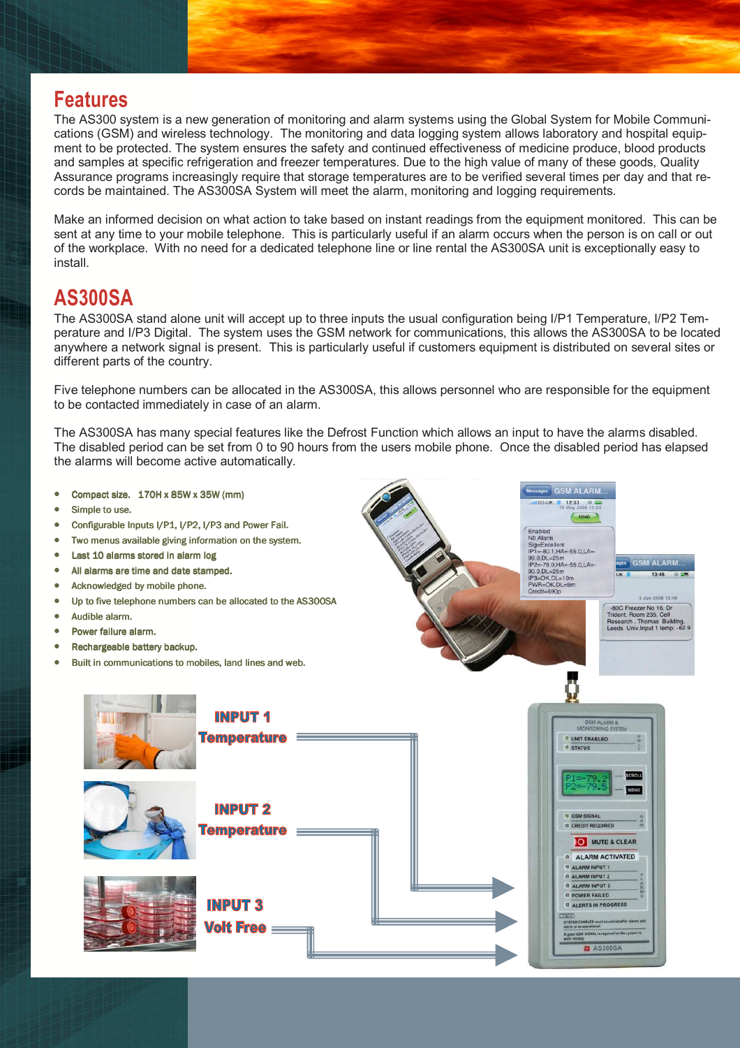### Features

The AS300 system is a new generation of monitoring and alarm systems using the Global System for Mobile Communications (GSM) and wireless technology. The monitoring and data logging system allows laboratory and hospital equipment to be protected. The system ensures the safety and continued effectiveness of medicine produce, blood products and samples at specific refrigeration and freezer temperatures. Due to the high value of many of these goods, Quality Assurance programs increasingly require that storage temperatures are to be verified several times per day and that records be maintained. The AS300SA System will meet the alarm, monitoring and logging requirements.

Make an informed decision on what action to take based on instant readings from the equipment monitored. This can be sent at any time to your mobile telephone. This is particularly useful if an alarm occurs when the person is on call or out of the workplace. With no need for a dedicated telephone line or line rental the AS300SA unit is exceptionally easy to install.

## AS300SA

The AS300SA stand alone unit will accept up to three inputs the usual configuration being I/P1 Temperature, I/P2 Temperature and I/P3 Digital. The system uses the GSM network for communications, this allows the AS300SA to be located anywhere a network signal is present. This is particularly useful if customers equipment is distributed on several sites or different parts of the country.

Five telephone numbers can be allocated in the AS300SA, this allows personnel who are responsible for the equipment to be contacted immediately in case of an alarm.

The AS300SA has many special features like the Defrost Function which allows an input to have the alarms disabled. The disabled period can be set from 0 to 90 hours from the users mobile phone. Once the disabled period has elapsed the alarms will become active automatically.

> **GSM ALARM.** 12:33 0

> > **GSM ALARM...**

Sig=Excellent<br>IP1=-80.1,HA=-55.0,LA=-<br>99.0.DL=25m

 $90.0.0L =$ 

յ∟≡∠5m<br>78.0.HA=-55.0.LA=։

- Compact size.  $170H \times 85W \times 35W$  (mm)
- Simple to use.
- Configurable Inputs I/P1, I/P2, I/P3 and Power Fail.
- Two menus available giving information on the system.
- Last 10 alarms stored in alarm log
- All alarms are time and date stamped.
- Acknowledged by mobile phone.
- Up to five telephone numbers can be allocated to the AS300SA
- $\bullet$  Audible alarm.
- Power failure alarm.
- Rechargeable battery backup.
- Built in communications to mobiles, land lines and web.

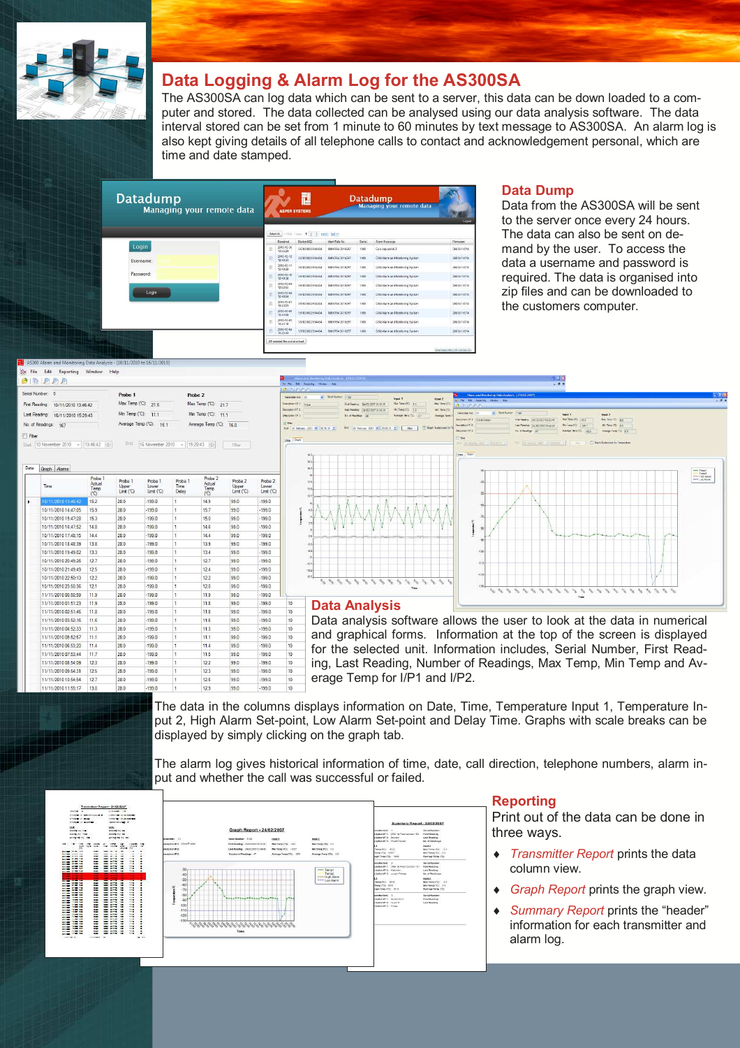

### Data Logging & Alarm Log for the AS300SA

The AS300SA can log data which can be sent to a server, this data can be down loaded to a computer and stored. The data collected can be analysed using our data analysis software. The data interval stored can be set from 1 minute to 60 minutes by text message to AS300SA. An alarm log is also kept giving details of all telephone calls to contact and acknowledgement personal, which are time and date stamped.

| <b>Datadump</b><br>Managing your remote data | Ľ<br><b>ASPER SYSTEMS</b>                 |                                |                 |                        | <b>Datadump</b><br>Managing your remote data |                                   |                                |  |
|----------------------------------------------|-------------------------------------------|--------------------------------|-----------------|------------------------|----------------------------------------------|-----------------------------------|--------------------------------|--|
|                                              | within the 4 213 mode tasks.<br>Select AL |                                |                 |                        |                                              |                                   |                                |  |
|                                              |                                           | Received                       | Deston IMPS     | Ident-Tele No.         | Sertal                                       | <b>Ham Message</b>                | Ferrasse                       |  |
| Login                                        |                                           | 2010-12-30<br>13:35:24         | 357820022514434 | SM 0784 2016257        | 1009                                         | Geo souare ULT                    | 2683U1V014                     |  |
| Username:                                    |                                           | 2010-12-12<br>12:49:31         | 357820022514434 | 88107842016257         | 1009                                         | GSN Alarm and thordoning System   | 2683U1V014                     |  |
|                                              |                                           | 2010-12-11<br>12:49:20         | 357820022514434 | SM 0784 2016257        | 1009                                         | GSM Alarm and Monitoring System   | 268311V014                     |  |
| Password:                                    |                                           | 2010-12-10<br>12:49:38         | 357820022514434 | SW 0784 2016257        | 1009                                         | CSM Alarm and Monitoring System   | 2683U1V014                     |  |
|                                              |                                           | 2010-12-09<br>128244           | 357820022514434 | <b>BM 0784 2016257</b> | 7000                                         | GSM Alarm and Montbring System    | 2683U1V014                     |  |
| Login                                        |                                           | 2010-12-08<br>12:49:54         | 357820322514434 | SM 0784 2016257        | 1002                                         | CSILAIarm and Monitoring System   | 2683U1V014                     |  |
|                                              | r                                         | 2010-12-07<br>10:43:01         | 357820022514434 | S## 6784 2016257       | 1009                                         | GSM Alarm and Monitoring System   | 2683U1V014                     |  |
|                                              |                                           | 2010-12-00<br>10:43:08         | 357820022514434 | 888 0784 2016257       | 1009                                         | GSM Alarm and Monitoring System   | 2683U1V014                     |  |
|                                              | E                                         | 2010-12-05<br>10:43:18         | 357820022514434 | RNI 6784 2016257       | 1000                                         | C/SM Atarm and Noridoring System. | 2683U1V014                     |  |
|                                              |                                           | 2010-12-04<br>10.4243          | 357820022514434 | 88107042016257         | 1009                                         | GSN Alarm and Worlforing System   | 2683U1V014                     |  |
|                                              |                                           | 2P selected flox and download. |                 |                        |                                              |                                   | Download Help File Contact (i) |  |

### Data Dump

Data from the AS300SA will be sent to the server once every 24 hours. The data can also be sent on demand by the user. To access the data a username and password is required. The data is organised into zip files and can be downloaded to the customers computer.

| Serial Number: 0 |                                   | Probe 1                 | Probe <sub>2</sub>      |  |
|------------------|-----------------------------------|-------------------------|-------------------------|--|
| First Reading:   | 10/11/2010 13:46:42               | Max Temp (°C): 21.6     | Max Temp (°C): 217      |  |
|                  | Last Reading: 16/11/2010 15:29:43 | Min Temp ('C): 111      | Min Temp ('C): 11.1     |  |
| No. of Readings: | 167                               | Average Temp (°C): 16.1 | Average Temp (°C): 16.0 |  |

 $per 2010$   $\rightarrow$  15:29:43  $\rightarrow$ 

|   | Time                | Probe 1<br>Actual<br>Temp<br>(C) | Probe <sub>1</sub><br>Upper<br>Limit (°C) | Probe <sub>1</sub><br>Lower<br>Limit (°C) | Probe 1<br>Time<br>Delay | Probe <sub>2</sub><br>Actual<br>Temp<br>(C <sub>C</sub> ) | Probe <sub>2</sub><br>Upper<br>Limit (°C) | Probe <sub>2</sub><br>Lower<br>Limit (°C) |    |
|---|---------------------|----------------------------------|-------------------------------------------|-------------------------------------------|--------------------------|-----------------------------------------------------------|-------------------------------------------|-------------------------------------------|----|
| ٠ | 10/11/2010 13:46:42 | 152                              | 28.0                                      | $-199.0$                                  | 1                        | 149                                                       | 990                                       | $-199.0$                                  |    |
|   | 10/11/2010 14:47:05 | 159                              | 280                                       | $-1990$                                   | 1                        | 15.7                                                      | 990                                       | $-1990$                                   |    |
|   | 10/11/2010 15:47:28 | 153                              | 280                                       | $-1990$                                   | 1                        | 150                                                       | 990                                       | $-1990$                                   |    |
|   | 10/11/2010 16:47:52 | 14.8                             | 28.0                                      | $-199.0$                                  | ŧ                        | 14.6                                                      | 99.0                                      | $-199.0$                                  |    |
|   | 10/11/2010 17:48:15 | 14.4                             | 28.0                                      | $-199.0$                                  | 1                        | 14.4                                                      | 99.0                                      | $-199.0$                                  |    |
|   | 10/11/2010 18:48:39 | 13.8                             | 28.0                                      | $-199.0$                                  | 1                        | 13.9                                                      | 99.0                                      | $-199.0$                                  |    |
|   | 10/11/2010 19:49:02 | 133                              | 28.0                                      | $-199.0$                                  | 1                        | 134                                                       | 99.0                                      | $-199.0$                                  |    |
|   | 10/11/2010 20:49:26 | 127                              | 28.0                                      | $-1990$                                   | 1                        | 127                                                       | 990                                       | $-1990$                                   |    |
|   | 10/11/2010 21:49:49 | 12.5                             | 28.0                                      | $-1990$                                   | 1                        | 12.4                                                      | 990                                       | $-1990$                                   |    |
|   | 10/11/2010 22:50:13 | 12.2                             | 28.0                                      | $-199.0$                                  | 1                        | 12.2                                                      | 99.0                                      | $-199.0$                                  |    |
|   | 10/11/2010 23:50:36 | 12.1                             | 28.0                                      | $-199.0$                                  | Ŧ                        | 12.0                                                      | 99.0                                      | $-199.0$                                  |    |
|   | 11/11/2010 00:50:59 | 11.9                             | 28.0                                      | $-199.0$                                  | ŧ                        | 119                                                       | 99.0                                      | $-199.0$                                  |    |
|   | 11/11/2010 01:51:23 | 11.9                             | 28.0                                      | $-1990$                                   | Ŧ                        | 118                                                       | 990                                       | $-199.0$                                  | 10 |
|   | 11/11/2010 02:51:46 | 11.8                             | 28.0                                      | $-1990$                                   | 1                        | 11.8                                                      | 990                                       | $-1990$                                   | 10 |
|   | 11/11/2010 03:52:16 | 11.6                             | 28.0                                      | $-199.0$                                  | 1                        | 11.6                                                      | 990                                       | $-199.0$                                  | 10 |
|   | 11/11/2010 04:52:33 | 11.3                             | 28.0                                      | $-1990$                                   | ŧ                        | 11.3                                                      | 99.0                                      | $-1990$                                   | 10 |
|   | 11/11/2010 05:52:57 | 11.1                             | 28.0                                      | $-199.0$                                  | 1                        | 11.1                                                      | 99.0                                      | $-199.0$                                  | 10 |
|   | 11/11/2010 06:53:20 | 11.4                             | 28.0                                      | $-199.0$                                  | 1                        | 11.4                                                      | 99.0                                      | $-199.0$                                  | 10 |
|   | 11/11/2010 07:53:44 | 11.7                             | 28.0                                      | $-199.0$                                  | 1                        | 11.5                                                      | 990                                       | $-199.0$                                  | 10 |
|   | 11/11/2010 08:54:09 | 12.3                             | 28.0                                      | $-199.0$                                  | 1                        | 12.2                                                      | 990                                       | $-199.0$                                  | 10 |
|   | 11/11/2010 09:54:31 | 12.5                             | 280                                       | $-1990$                                   | 1                        | 123                                                       | 990                                       | $-1990$                                   | 10 |
|   | 11/11/2010 10:54:54 | 12.7                             | 28.0                                      | $-199.0$                                  | 1                        | 12.6                                                      | 99.0                                      | $-199.0$                                  | 10 |
|   |                     | $\sim$ $\sim$                    | $- - -$                                   | $-1$                                      | $\sim$                   | $ -$                                                      | $- - -$                                   |                                           |    |



Data analysis software allows the user to look at the data in numerical and graphical forms. Information at the top of the screen is displayed for the selected unit. Information includes, Serial Number, First Reading, Last Reading, Number of Readings, Max Temp, Min Temp and Average Temp for I/P1 and I/P2.



The data in the columns displays information on Date, Time, Temperature Input 1, Temperature Input 2, High Alarm Set-point, Low Alarm Set-point and Delay Time. Graphs with scale breaks can be displayed by simply clicking on the graph tab.

The alarm log gives historical information of time, date, call direction, telephone numbers, alarm input and whether the call was successful or failed.



### Reporting

Print out of the data can be done in three ways.

- Transmitter Report prints the data column view.
- Graph Report prints the graph view.
- Summary Report prints the "header" information for each transmitter and alarm log.